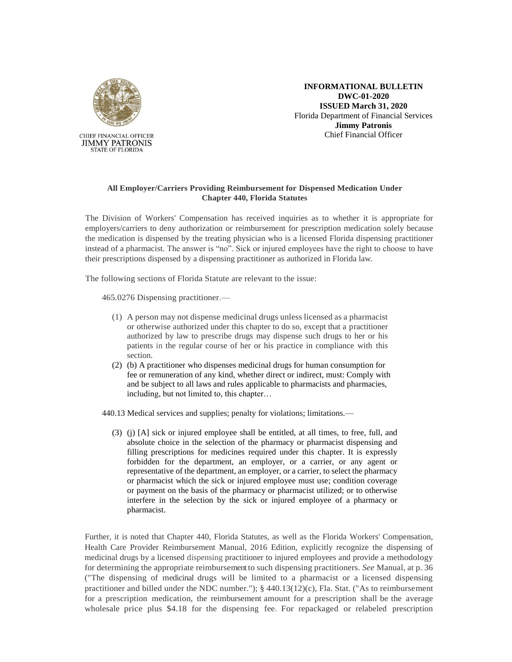

**INFORMATIONAL BULLETIN DWC-01-2020 ISSUED March 31, 2020** Florida Department of Financial Services **Jimmy Patronis** Chief Financial Officer

## **All Employer/Carriers Providing Reimbursement for Dispensed Medication Under Chapter 440, Florida Statutes**

The Division of Workers' Compensation has received inquiries as to whether it is appropriate for employers/carriers to deny authorization or reimbursement for prescription medication solely because the medication is dispensed by the treating physician who is a licensed Florida dispensing practitioner instead of a pharmacist. The answer is "no". Sick or injured employees have the right to choose to have their prescriptions dispensed by a dispensing practitioner as authorized in Florida law.

The following sections of Florida Statute are relevant to the issue:

465.0276 Dispensing practitioner.—

- (1) A person may not dispense medicinal drugs unless licensed as a pharmacist or otherwise authorized under this chapter to do so, except that a practitioner authorized by law to prescribe drugs may dispense such drugs to her or his patients in the regular course of her or his practice in compliance with this section.
- (2) (b) A practitioner who dispenses medicinal drugs for human consumption for fee or remuneration of any kind, whether direct or indirect, must: Comply with and be subject to all laws and rules applicable to pharmacists and pharmacies, including, but not limited to, this chapter…
- 440.13 Medical services and supplies; penalty for violations; limitations.—
	- (3) (j) [A] sick or injured employee shall be entitled, at all times, to free, full, and absolute choice in the selection of the pharmacy or pharmacist dispensing and filling prescriptions for medicines required under this chapter. It is expressly forbidden for the department, an employer, or a carrier, or any agent or representative of the department, an employer, or a carrier, to select the pharmacy or pharmacist which the sick or injured employee must use; condition coverage or payment on the basis of the pharmacy or pharmacist utilized; or to otherwise interfere in the selection by the sick or injured employee of a pharmacy or pharmacist.

Further, it is noted that Chapter 440, Florida Statutes, as well as the Florida Workers' Compensation, Health Care Provider Reimbursement Manual, 2016 Edition, explicitly recognize the dispensing of medicinal drugs by a licensed dispensing practitioner to injured employees and provide a methodology for determining the appropriate reimbursementto such dispensing practitioners. *See* Manual, at p. 36 ("The dispensing of medicinal drugs will be limited to a pharmacist or a licensed dispensing practitioner and billed under the NDC number."); § 440.13(12)(c), Fla. Stat. ("As to reimbursement for a prescription medication, the reimbursement amount for a prescription shall be the average wholesale price plus \$4.18 for the dispensing fee. For repackaged or relabeled prescription